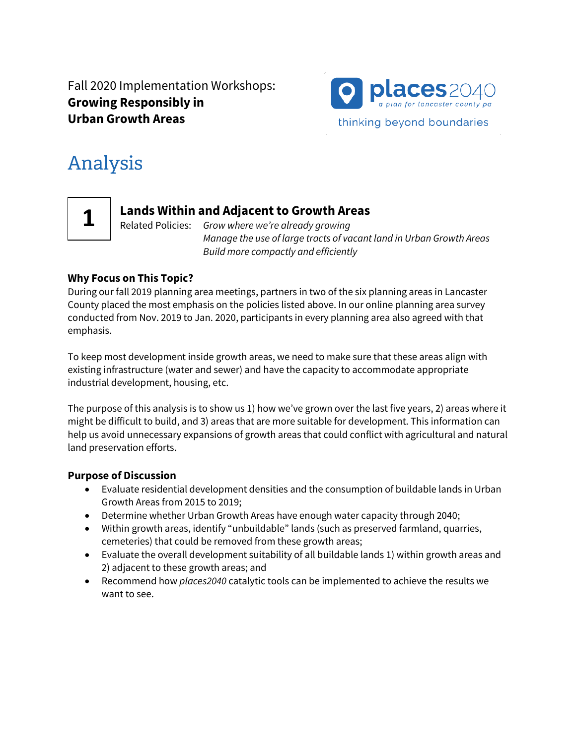Fall 2020 Implementation Workshops: **Growing Responsibly in Urban Growth Areas**



# **Analysis**

**1**

# **Lands Within and Adjacent to Growth Areas**

Related Policies: *Grow where we're already growing Manage the use of large tracts of vacant land in Urban Growth Areas Build more compactly and efficiently*

#### **Why Focus on This Topic?**

During our fall 2019 planning area meetings, partners in two of the six planning areas in Lancaster County placed the most emphasis on the policies listed above. In our online planning area survey conducted from Nov. 2019 to Jan. 2020, participants in every planning area also agreed with that emphasis.

To keep most development inside growth areas, we need to make sure that these areas align with existing infrastructure (water and sewer) and have the capacity to accommodate appropriate industrial development, housing, etc.

The purpose of this analysis is to show us 1) how we've grown over the last five years, 2) areas where it might be difficult to build, and 3) areas that are more suitable for development. This information can help us avoid unnecessary expansions of growth areas that could conflict with agricultural and natural land preservation efforts.

#### **Purpose of Discussion**

- Evaluate residential development densities and the consumption of buildable lands in Urban Growth Areas from 2015 to 2019;
- Determine whether Urban Growth Areas have enough water capacity through 2040;
- Within growth areas, identify "unbuildable" lands (such as preserved farmland, quarries, cemeteries) that could be removed from these growth areas;
- Evaluate the overall development suitability of all buildable lands 1) within growth areas and 2) adjacent to these growth areas; and
- Recommend how *places2040* catalytic tools can be implemented to achieve the results we want to see.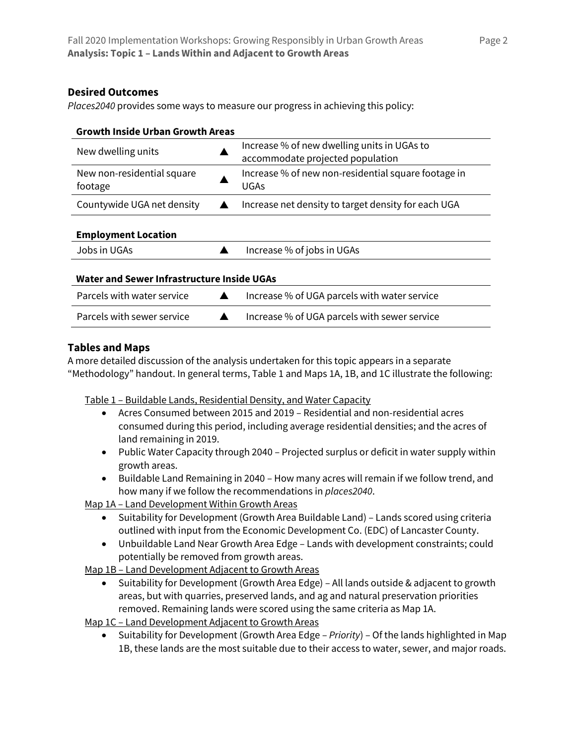#### **Desired Outcomes**

*Places2040* provides some ways to measure our progress in achieving this policy:

| <b>Growth Inside Urban Growth Areas</b>    |                                                                                 |
|--------------------------------------------|---------------------------------------------------------------------------------|
| New dwelling units                         | Increase % of new dwelling units in UGAs to<br>accommodate projected population |
| New non-residential square<br>footage      | Increase % of new non-residential square footage in<br><b>UGAs</b>              |
| Countywide UGA net density                 | Increase net density to target density for each UGA                             |
| <b>Employment Location</b>                 |                                                                                 |
| Jobs in UGAs                               | Increase % of jobs in UGAs                                                      |
| Water and Sewer Infrastructure Inside UGAs |                                                                                 |
| Parcels with water service                 | Increase % of UGA parcels with water service                                    |
| Parcels with sewer service                 | Increase % of UGA parcels with sewer service                                    |

## **Tables and Maps**

A more detailed discussion of the analysis undertaken for this topic appears in a separate "Methodology" handout. In general terms, Table 1 and Maps 1A, 1B, and 1C illustrate the following:

Table 1 – Buildable Lands, Residential Density, and Water Capacity

- Acres Consumed between 2015 and 2019 Residential and non-residential acres consumed during this period, including average residential densities; and the acres of land remaining in 2019.
- Public Water Capacity through 2040 Projected surplus or deficit in water supply within growth areas.
- Buildable Land Remaining in 2040 How many acres will remain if we follow trend, and how many if we follow the recommendations in *places2040*.

Map 1A - Land Development Within Growth Areas

- Suitability for Development (Growth Area Buildable Land) Lands scored using criteria outlined with input from the Economic Development Co. (EDC) of Lancaster County.
- Unbuildable Land Near Growth Area Edge Lands with development constraints; could potentially be removed from growth areas.

Map 1B – Land Development Adjacent to Growth Areas

- Suitability for Development (Growth Area Edge) All lands outside & adjacent to growth areas, but with quarries, preserved lands, and ag and natural preservation priorities removed. Remaining lands were scored using the same criteria as Map 1A.
- Map 1C Land Development Adjacent to Growth Areas
	- Suitability for Development (Growth Area Edge *Priority*) Of the lands highlighted in Map 1B, these lands are the most suitable due to their access to water, sewer, and major roads.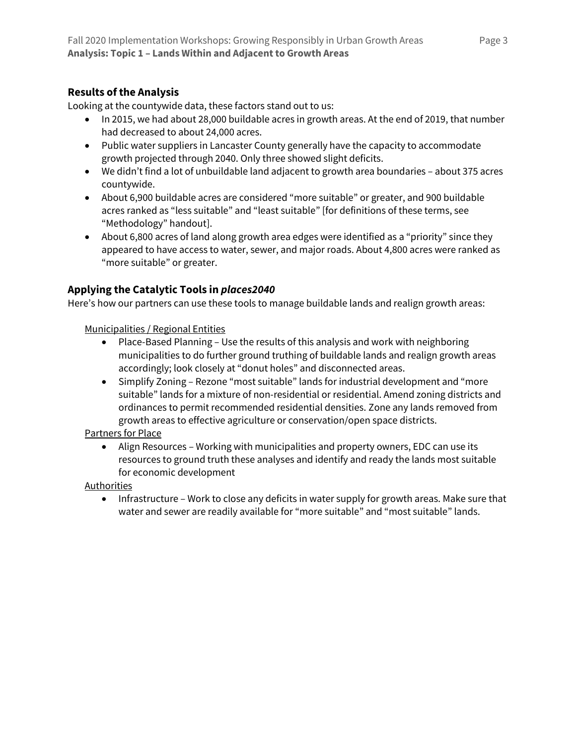#### **Results of the Analysis**

Looking at the countywide data, these factors stand out to us:

- In 2015, we had about 28,000 buildable acres in growth areas. At the end of 2019, that number had decreased to about 24,000 acres.
- Public water suppliers in Lancaster County generally have the capacity to accommodate growth projected through 2040. Only three showed slight deficits.
- We didn't find a lot of unbuildable land adjacent to growth area boundaries about 375 acres countywide.
- About 6,900 buildable acres are considered "more suitable" or greater, and 900 buildable acres ranked as "less suitable" and "least suitable" [for definitions of these terms, see "Methodology" handout].
- About 6,800 acres of land along growth area edges were identified as a "priority" since they appeared to have access to water, sewer, and major roads. About 4,800 acres were ranked as "more suitable" or greater.

## **Applying the Catalytic Tools in** *places2040*

Here's how our partners can use these tools to manage buildable lands and realign growth areas:

Municipalities / Regional Entities

- Place-Based Planning Use the results of this analysis and work with neighboring municipalities to do further ground truthing of buildable lands and realign growth areas accordingly; look closely at "donut holes" and disconnected areas.
- Simplify Zoning Rezone "most suitable" lands for industrial development and "more suitable" lands for a mixture of non-residential or residential. Amend zoning districts and ordinances to permit recommended residential densities. Zone any lands removed from growth areas to effective agriculture or conservation/open space districts.

Partners for Place

• Align Resources – Working with municipalities and property owners, EDC can use its resources to ground truth these analyses and identify and ready the lands most suitable for economic development

Authorities

• Infrastructure – Work to close any deficits in water supply for growth areas. Make sure that water and sewer are readily available for "more suitable" and "most suitable" lands.